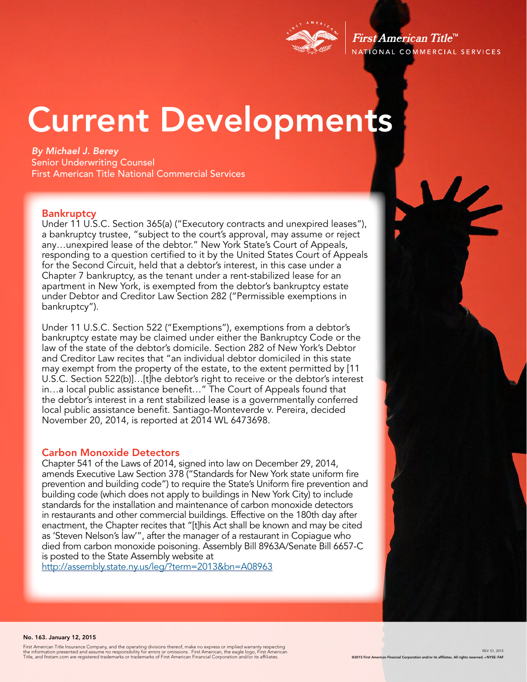

First American Title<sup>™</sup> NATIONAL COMMERCIAL SERVICES

# Current Developments

*By Michael J. Berey*  Senior Underwriting Counsel First American Title National Commercial Services

#### **Bankruptcy**

Under 11 U.S.C. Section 365(a) ("Executory contracts and unexpired leases"), a bankruptcy trustee, "subject to the court's approval, may assume or reject any…unexpired lease of the debtor." New York State's Court of Appeals, responding to a question certified to it by the United States Court of Appeals for the Second Circuit, held that a debtor's interest, in this case under a Chapter 7 bankruptcy, as the tenant under a rent-stabilized lease for an apartment in New York, is exempted from the debtor's bankruptcy estate under Debtor and Creditor Law Section 282 ("Permissible exemptions in bankruptcy").

Under 11 U.S.C. Section 522 ("Exemptions"), exemptions from a debtor's bankruptcy estate may be claimed under either the Bankruptcy Code or the law of the state of the debtor's domicile. Section 282 of New York's Debtor and Creditor Law recites that "an individual debtor domiciled in this state may exempt from the property of the estate, to the extent permitted by [11 U.S.C. Section 522(b)]…[t]he debtor's right to receive or the debtor's interest in…a local public assistance benefit…" The Court of Appeals found that the debtor's interest in a rent stabilized lease is a governmentally conferred local public assistance benefit. Santiago-Monteverde v. Pereira, decided November 20, 2014, is reported at 2014 WL 6473698.

#### Carbon Monoxide Detectors

Chapter 541 of the Laws of 2014, signed into law on December 29, 2014, amends Executive Law Section 378 ("Standards for New York state uniform fire prevention and building code") to require the State's Uniform fire prevention and building code (which does not apply to buildings in New York City) to include standards for the installation and maintenance of carbon monoxide detectors in restaurants and other commercial buildings. Effective on the 180th day after enactment, the Chapter recites that "[t]his Act shall be known and may be cited as 'Steven Nelson's law'", after the manager of a restaurant in Copiague who died from carbon monoxide poisoning. Assembly Bill 8963A/Senate Bill 6657-C is posted to the State Assembly website at

http://assembly.state.ny.us/leg/?term=2013&bn=A08963



#### No. 163. January 12, 2015

First American Title Insurance Company, and the operating divisions thereof, make no express or implied warranty respecting<br>the information presented and assume no responsibility for errors or omissions. First American, th

REV: 01, 2015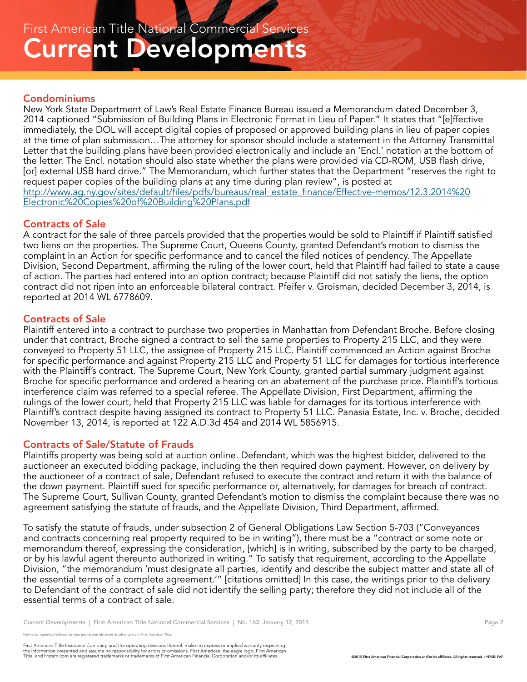#### Condominiums

New York State Department of Law's Real Estate Finance Bureau issued a Memorandum dated December 3, 2014 captioned "Submission of Building Plans in Electronic Format in Lieu of Paper." It states that "[e]ffective immediately, the DOL will accept digital copies of proposed or approved building plans in lieu of paper copies at the time of plan submission…The attorney for sponsor should include a statement in the Attorney Transmittal Letter that the building plans have been provided electronically and include an 'Encl.' notation at the bottom of the letter. The Encl. notation should also state whether the plans were provided via CD-ROM, USB flash drive, [or] external USB hard drive." The Memorandum, which further states that the Department "reserves the right to request paper copies of the building plans at any time during plan review", is posted at http://www.ag.ny.gov/sites/default/files/pdfs/bureaus/real\_estate\_finance/Effective-memos/12.3.2014%20 Electronic%20Copies%20of%20Building%20Plans.pdf

#### Contracts of Sale

A contract for the sale of three parcels provided that the properties would be sold to Plaintiff if Plaintiff satisfied two liens on the properties. The Supreme Court, Queens County, granted Defendant's motion to dismiss the complaint in an Action for specific performance and to cancel the filed notices of pendency. The Appellate Division, Second Department, affirming the ruling of the lower court, held that Plaintiff had failed to state a cause of action. The parties had entered into an option contract; because Plaintiff did not satisfy the liens, the option contract did not ripen into an enforceable bilateral contract. Pfeifer v. Groisman, decided December 3, 2014, is reported at 2014 WL 6778609.

### Contracts of Sale

Plaintiff entered into a contract to purchase two properties in Manhattan from Defendant Broche. Before closing under that contract, Broche signed a contract to sell the same properties to Property 215 LLC, and they were conveyed to Property 51 LLC, the assignee of Property 215 LLC. Plaintiff commenced an Action against Broche for specific performance and against Property 215 LLC and Property 51 LLC for damages for tortious interference with the Plaintiff's contract. The Supreme Court, New York County, granted partial summary judgment against Broche for specific performance and ordered a hearing on an abatement of the purchase price. Plaintiff's tortious interference claim was referred to a special referee. The Appellate Division, First Department, affirming the rulings of the lower court, held that Property 215 LLC was liable for damages for its tortious interference with Plaintiff's contract despite having assigned its contract to Property 51 LLC. Panasia Estate, Inc. v. Broche, decided November 13, 2014, is reported at 122 A.D.3d 454 and 2014 WL 5856915.

### Contracts of Sale/Statute of Frauds

Plaintiffs property was being sold at auction online. Defendant, which was the highest bidder, delivered to the auctioneer an executed bidding package, including the then required down payment. However, on delivery by the auctioneer of a contract of sale, Defendant refused to execute the contract and return it with the balance of the down payment. Plaintiff sued for specific performance or, alternatively, for damages for breach of contract. The Supreme Court, Sullivan County, granted Defendant's motion to dismiss the complaint because there was no agreement satisfying the statute of frauds, and the Appellate Division, Third Department, affirmed.

To satisfy the statute of frauds, under subsection 2 of General Obligations Law Section 5-703 ("Conveyances and contracts concerning real property required to be in writing"), there must be a "contract or some note or memorandum thereof, expressing the consideration, [which] is in writing, subscribed by the party to be charged, or by his lawful agent thereunto authorized in writing." To satisfy that requirement, according to the Appellate Division, "the memorandum 'must designate all parties, identify and describe the subject matter and state all of the essential terms of a complete agreement.'" [citations omitted] In this case, the writings prior to the delivery to Defendant of the contract of sale did not identify the selling party; therefore they did not include all of the essential terms of a contract of sale.

*Current Developments* | First American Title National Commercial Services | No. 163. January 12, 2015 **Page 2** Page 2

reprinted without written permission obtained in advance from First American Title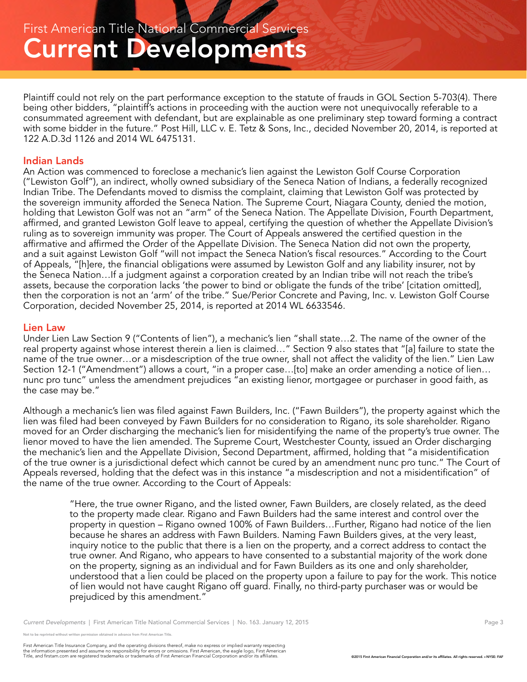Plaintiff could not rely on the part performance exception to the statute of frauds in GOL Section 5-703(4). There being other bidders, "plaintiff's actions in proceeding with the auction were not unequivocally referable to a consummated agreement with defendant, but are explainable as one preliminary step toward forming a contract with some bidder in the future." Post Hill, LLC v. E. Tetz & Sons, Inc., decided November 20, 2014, is reported at 122 A.D.3d 1126 and 2014 WL 6475131.

#### Indian Lands

An Action was commenced to foreclose a mechanic's lien against the Lewiston Golf Course Corporation ("Lewiston Golf"), an indirect, wholly owned subsidiary of the Seneca Nation of Indians, a federally recognized Indian Tribe. The Defendants moved to dismiss the complaint, claiming that Lewiston Golf was protected by the sovereign immunity afforded the Seneca Nation. The Supreme Court, Niagara County, denied the motion, holding that Lewiston Golf was not an "arm" of the Seneca Nation. The Appellate Division, Fourth Department, affirmed, and granted Lewiston Golf leave to appeal, certifying the question of whether the Appellate Division's ruling as to sovereign immunity was proper. The Court of Appeals answered the certified question in the affirmative and affirmed the Order of the Appellate Division. The Seneca Nation did not own the property, and a suit against Lewiston Golf "will not impact the Seneca Nation's fiscal resources." According to the Court of Appeals, "[h]ere, the financial obligations were assumed by Lewiston Golf and any liability insurer, not by the Seneca Nation…If a judgment against a corporation created by an Indian tribe will not reach the tribe's assets, because the corporation lacks 'the power to bind or obligate the funds of the tribe' [citation omitted], then the corporation is not an 'arm' of the tribe." Sue/Perior Concrete and Paving, Inc. v. Lewiston Golf Course Corporation, decided November 25, 2014, is reported at 2014 WL 6633546.

#### Lien Law

Under Lien Law Section 9 ("Contents of lien"), a mechanic's lien "shall state…2. The name of the owner of the real property against whose interest therein a lien is claimed…" Section 9 also states that "[a] failure to state the name of the true owner…or a misdescription of the true owner, shall not affect the validity of the lien." Lien Law Section 12-1 ("Amendment") allows a court, "in a proper case...[to] make an order amending a notice of lien... nunc pro tunc" unless the amendment prejudices "an existing lienor, mortgagee or purchaser in good faith, as the case may be."

Although a mechanic's lien was filed against Fawn Builders, Inc. ("Fawn Builders"), the property against which the lien was filed had been conveyed by Fawn Builders for no consideration to Rigano, its sole shareholder. Rigano moved for an Order discharging the mechanic's lien for misidentifying the name of the property's true owner. The lienor moved to have the lien amended. The Supreme Court, Westchester County, issued an Order discharging the mechanic's lien and the Appellate Division, Second Department, affirmed, holding that "a misidentification of the true owner is a jurisdictional defect which cannot be cured by an amendment nunc pro tunc." The Court of Appeals reversed, holding that the defect was in this instance "a misdescription and not a misidentification" of the name of the true owner. According to the Court of Appeals:

"Here, the true owner Rigano, and the listed owner, Fawn Builders, are closely related, as the deed to the property made clear. Rigano and Fawn Builders had the same interest and control over the property in question – Rigano owned 100% of Fawn Builders…Further, Rigano had notice of the lien because he shares an address with Fawn Builders. Naming Fawn Builders gives, at the very least, inquiry notice to the public that there is a lien on the property, and a correct address to contact the true owner. And Rigano, who appears to have consented to a substantial majority of the work done on the property, signing as an individual and for Fawn Builders as its one and only shareholder, understood that a lien could be placed on the property upon a failure to pay for the work. This notice of lien would not have caught Rigano off guard. Finally, no third-party purchaser was or would be prejudiced by this amendment."

*Current Developments* | First American Title National Commercial Services | No. 163. January 12, 2015 **Page 3** Page 3

eprinted without written permission obtained in advance from First American Title.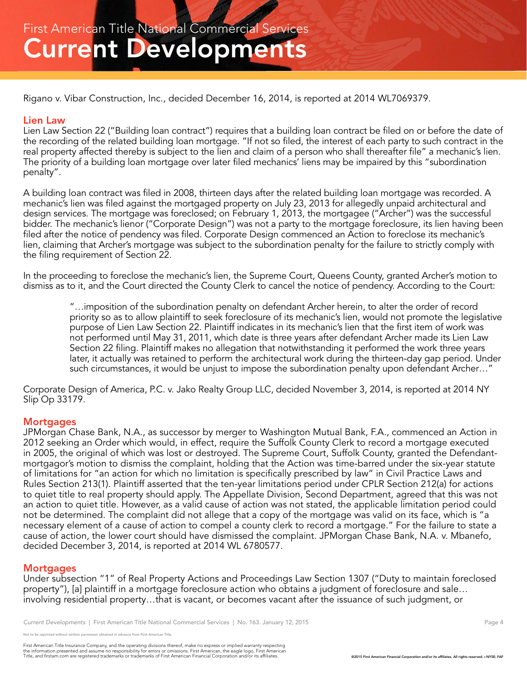Rigano v. Vibar Construction, Inc., decided December 16, 2014, is reported at 2014 WL7069379.

#### Lien Law

Lien Law Section 22 ("Building loan contract") requires that a building loan contract be filed on or before the date of the recording of the related building loan mortgage. "If not so filed, the interest of each party to such contract in the real property affected thereby is subject to the lien and claim of a person who shall thereafter file" a mechanic's lien. The priority of a building loan mortgage over later filed mechanics' liens may be impaired by this "subordination penalty".

A building loan contract was filed in 2008, thirteen days after the related building loan mortgage was recorded. A mechanic's lien was filed against the mortgaged property on July 23, 2013 for allegedly unpaid architectural and design services. The mortgage was foreclosed; on February 1, 2013, the mortgagee ("Archer") was the successful bidder. The mechanic's lienor ("Corporate Design") was not a party to the mortgage foreclosure, its lien having been filed after the notice of pendency was filed. Corporate Design commenced an Action to foreclose its mechanic's lien, claiming that Archer's mortgage was subject to the subordination penalty for the failure to strictly comply with the filing requirement of Section 22.

In the proceeding to foreclose the mechanic's lien, the Supreme Court, Queens County, granted Archer's motion to dismiss as to it, and the Court directed the County Clerk to cancel the notice of pendency. According to the Court:

"…imposition of the subordination penalty on defendant Archer herein, to alter the order of record priority so as to allow plaintiff to seek foreclosure of its mechanic's lien, would not promote the legislative purpose of Lien Law Section 22. Plaintiff indicates in its mechanic's lien that the first item of work was not performed until May 31, 2011, which date is three years after defendant Archer made its Lien Law Section 22 filing. Plaintiff makes no allegation that notwithstanding it performed the work three years later, it actually was retained to perform the architectural work during the thirteen-day gap period. Under such circumstances, it would be unjust to impose the subordination penalty upon defendant Archer…"

Corporate Design of America, P.C. v. Jako Realty Group LLC, decided November 3, 2014, is reported at 2014 NY Slip Op 33179.

#### **Mortgages**

JPMorgan Chase Bank, N.A., as successor by merger to Washington Mutual Bank, F.A., commenced an Action in 2012 seeking an Order which would, in effect, require the Suffolk County Clerk to record a mortgage executed in 2005, the original of which was lost or destroyed. The Supreme Court, Suffolk County, granted the Defendantmortgagor's motion to dismiss the complaint, holding that the Action was time-barred under the six-year statute of limitations for "an action for which no limitation is specifically prescribed by law" in Civil Practice Laws and Rules Section 213(1). Plaintiff asserted that the ten-year limitations period under CPLR Section 212(a) for actions to quiet title to real property should apply. The Appellate Division, Second Department, agreed that this was not an action to quiet title. However, as a valid cause of action was not stated, the applicable limitation period could not be determined. The complaint did not allege that a copy of the mortgage was valid on its face, which is "a necessary element of a cause of action to compel a county clerk to record a mortgage." For the failure to state a cause of action, the lower court should have dismissed the complaint. JPMorgan Chase Bank, N.A. v. Mbanefo, decided December 3, 2014, is reported at 2014 WL 6780577.

#### **Mortgages**

Under subsection "1" of Real Property Actions and Proceedings Law Section 1307 ("Duty to maintain foreclosed property"), [a] plaintiff in a mortgage foreclosure action who obtains a judgment of foreclosure and sale… involving residential property…that is vacant, or becomes vacant after the issuance of such judgment, or

eprinted without written permission obtained in advance from First American Title.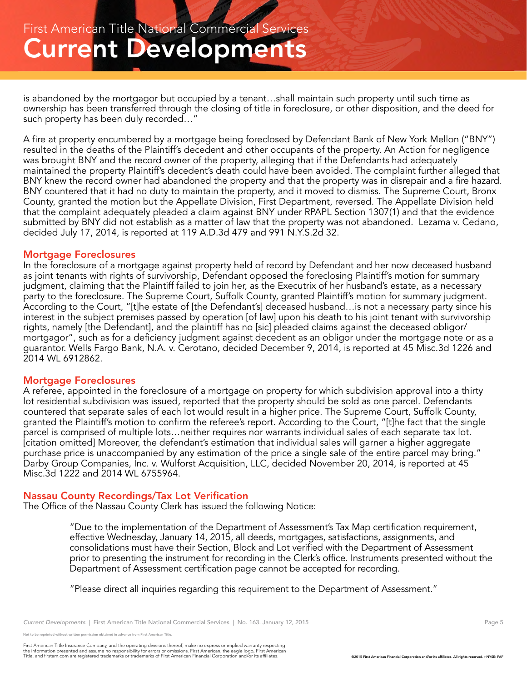is abandoned by the mortgagor but occupied by a tenant…shall maintain such property until such time as ownership has been transferred through the closing of title in foreclosure, or other disposition, and the deed for such property has been duly recorded…"

A fire at property encumbered by a mortgage being foreclosed by Defendant Bank of New York Mellon ("BNY") resulted in the deaths of the Plaintiff's decedent and other occupants of the property. An Action for negligence was brought BNY and the record owner of the property, alleging that if the Defendants had adequately maintained the property Plaintiff's decedent's death could have been avoided. The complaint further alleged that BNY knew the record owner had abandoned the property and that the property was in disrepair and a fire hazard. BNY countered that it had no duty to maintain the property, and it moved to dismiss. The Supreme Court, Bronx County, granted the motion but the Appellate Division, First Department, reversed. The Appellate Division held that the complaint adequately pleaded a claim against BNY under RPAPL Section 1307(1) and that the evidence submitted by BNY did not establish as a matter of law that the property was not abandoned. Lezama v. Cedano, decided July 17, 2014, is reported at 119 A.D.3d 479 and 991 N.Y.S.2d 32.

#### Mortgage Foreclosures

In the foreclosure of a mortgage against property held of record by Defendant and her now deceased husband as joint tenants with rights of survivorship, Defendant opposed the foreclosing Plaintiff's motion for summary judgment, claiming that the Plaintiff failed to join her, as the Executrix of her husband's estate, as a necessary party to the foreclosure. The Supreme Court, Suffolk County, granted Plaintiff's motion for summary judgment. According to the Court, "[t]he estate of [the Defendant's] deceased husband…is not a necessary party since his interest in the subject premises passed by operation [of law] upon his death to his joint tenant with survivorship rights, namely [the Defendant], and the plaintiff has no [sic] pleaded claims against the deceased obligor/ mortgagor", such as for a deficiency judgment against decedent as an obligor under the mortgage note or as a guarantor. Wells Fargo Bank, N.A. v. Cerotano, decided December 9, 2014, is reported at 45 Misc.3d 1226 and 2014 WL 6912862.

#### Mortgage Foreclosures

A referee, appointed in the foreclosure of a mortgage on property for which subdivision approval into a thirty lot residential subdivision was issued, reported that the property should be sold as one parcel. Defendants countered that separate sales of each lot would result in a higher price. The Supreme Court, Suffolk County, granted the Plaintiff's motion to confirm the referee's report. According to the Court, "[t]he fact that the single parcel is comprised of multiple lots…neither requires nor warrants individual sales of each separate tax lot. [citation omitted] Moreover, the defendant's estimation that individual sales will garner a higher aggregate purchase price is unaccompanied by any estimation of the price a single sale of the entire parcel may bring." Darby Group Companies, Inc. v. Wulforst Acquisition, LLC, decided November 20, 2014, is reported at 45 Misc.3d 1222 and 2014 WL 6755964.

#### Nassau County Recordings/Tax Lot Verification

The Office of the Nassau County Clerk has issued the following Notice:

"Due to the implementation of the Department of Assessment's Tax Map certification requirement, effective Wednesday, January 14, 2015, all deeds, mortgages, satisfactions, assignments, and consolidations must have their Section, Block and Lot verified with the Department of Assessment prior to presenting the instrument for recording in the Clerk's office. Instruments presented without the Department of Assessment certification page cannot be accepted for recording.

"Please direct all inquiries regarding this requirement to the Department of Assessment."

eprinted without written permission obtained in advance from First American Title.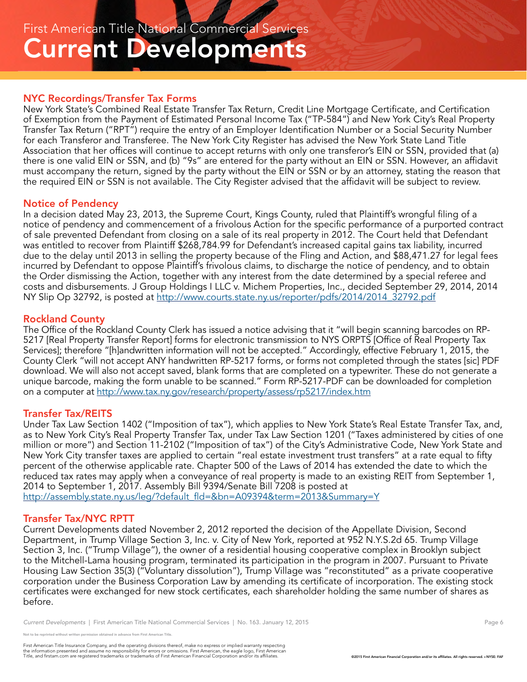#### NYC Recordings/Transfer Tax Forms

New York State's Combined Real Estate Transfer Tax Return, Credit Line Mortgage Certificate, and Certification of Exemption from the Payment of Estimated Personal Income Tax ("TP-584") and New York City's Real Property Transfer Tax Return ("RPT") require the entry of an Employer Identification Number or a Social Security Number for each Transferor and Transferee. The New York City Register has advised the New York State Land Title Association that her offices will continue to accept returns with only one transferor's EIN or SSN, provided that (a) there is one valid EIN or SSN, and (b) "9s" are entered for the party without an EIN or SSN. However, an affidavit must accompany the return, signed by the party without the EIN or SSN or by an attorney, stating the reason that the required EIN or SSN is not available. The City Register advised that the affidavit will be subject to review.

#### Notice of Pendency

In a decision dated May 23, 2013, the Supreme Court, Kings County, ruled that Plaintiff's wrongful filing of a notice of pendency and commencement of a frivolous Action for the specific performance of a purported contract of sale prevented Defendant from closing on a sale of its real property in 2012. The Court held that Defendant was entitled to recover from Plaintiff \$268,784.99 for Defendant's increased capital gains tax liability, incurred due to the delay until 2013 in selling the property because of the Fling and Action, and \$88,471.27 for legal fees incurred by Defendant to oppose Plaintiff's frivolous claims, to discharge the notice of pendency, and to obtain the Order dismissing the Action, together with any interest from the date determined by a special referee and costs and disbursements. J Group Holdings I LLC v. Michem Properties, Inc., decided September 29, 2014, 2014 NY Slip Op 32792, is posted at http://www.courts.state.ny.us/reporter/pdfs/2014/2014\_32792.pdf

#### Rockland County

The Office of the Rockland County Clerk has issued a notice advising that it "will begin scanning barcodes on RP-5217 [Real Property Transfer Report] forms for electronic transmission to NYS ORPTS [Office of Real Property Tax Services]; therefore "[h]andwritten information will not be accepted." Accordingly, effective February 1, 2015, the County Clerk "will not accept ANY handwritten RP-5217 forms, or forms not completed through the states [sic] PDF download. We will also not accept saved, blank forms that are completed on a typewriter. These do not generate a unique barcode, making the form unable to be scanned." Form RP-5217-PDF can be downloaded for completion on a computer at http://www.tax.ny.gov/research/property/assess/rp5217/index.htm

#### Transfer Tax/REITS

Under Tax Law Section 1402 ("Imposition of tax"), which applies to New York State's Real Estate Transfer Tax, and, as to New York City's Real Property Transfer Tax, under Tax Law Section 1201 ("Taxes administered by cities of one million or more") and Section 11-2102 ("Imposition of tax") of the City's Administrative Code, New York State and New York City transfer taxes are applied to certain "real estate investment trust transfers" at a rate equal to fifty percent of the otherwise applicable rate. Chapter 500 of the Laws of 2014 has extended the date to which the reduced tax rates may apply when a conveyance of real property is made to an existing REIT from September 1, 2014 to September 1, 2017. Assembly Bill 9394/Senate Bill 7208 is posted at http://assembly.state.ny.us/leg/?default\_fld=&bn=A09394&term=2013&Summary=Y

#### Transfer Tax/NYC RPTT

Current Developments dated November 2, 2012 reported the decision of the Appellate Division, Second Department, in Trump Village Section 3, Inc. v. City of New York, reported at 952 N.Y.S.2d 65. Trump Village Section 3, Inc. ("Trump Village"), the owner of a residential housing cooperative complex in Brooklyn subject to the Mitchell-Lama housing program, terminated its participation in the program in 2007. Pursuant to Private Housing Law Section 35(3) ("Voluntary dissolution"), Trump Village was "reconstituted" as a private cooperative corporation under the Business Corporation Law by amending its certificate of incorporation. The existing stock certificates were exchanged for new stock certificates, each shareholder holding the same number of shares as before.

*Current Developments* | First American Title National Commercial Services | No. 163. January 12, 2015 **Page 6** Page 6

eprinted without written permission obtained in advance from First American Title.